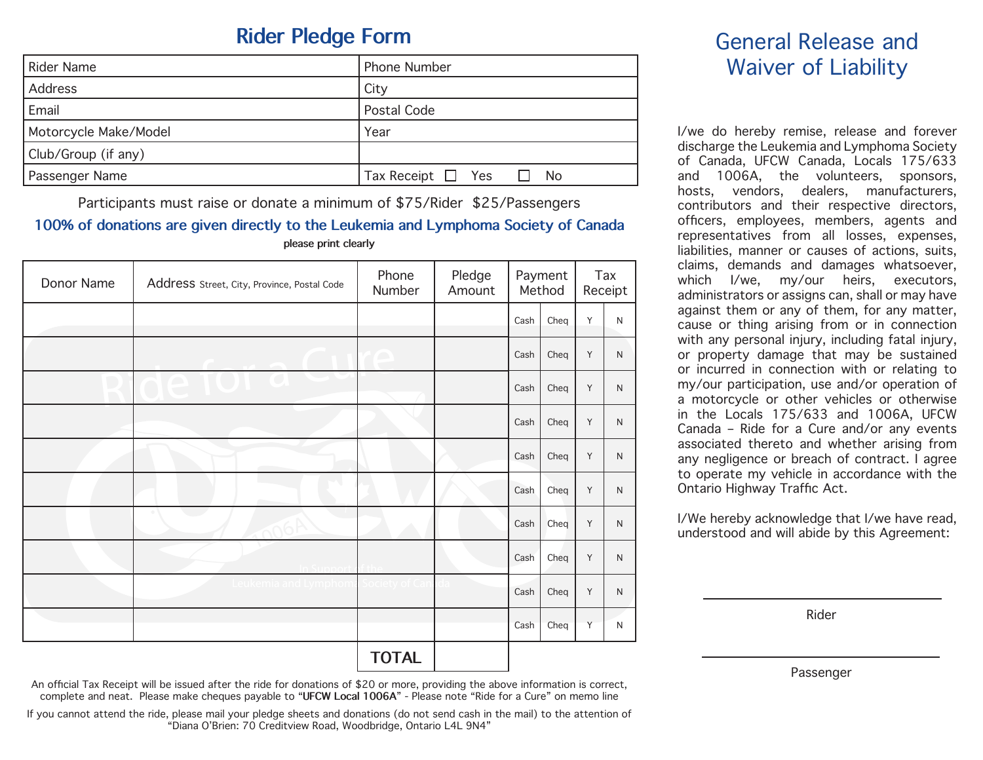# **Rider Pledge Form**

| <b>Rider Name</b>     | <b>Phone Number</b>          |
|-----------------------|------------------------------|
| Address               | City                         |
| Email                 | Postal Code                  |
| Motorcycle Make/Model | Year                         |
| Club/Group (if any)   |                              |
| Passenger Name        | Tax Receipt $\Box$ Yes<br>No |

Participants must raise or donate a minimum of \$75/Rider \$25/Passengers **100% of donations are given directly to the Leukemia and Lymphoma Society of Canada**

| please print clearly |                                             |                 |                  |                   |      |                |              |                                             |
|----------------------|---------------------------------------------|-----------------|------------------|-------------------|------|----------------|--------------|---------------------------------------------|
| Donor Name           | Address Street, City, Province, Postal Code | Phone<br>Number | Pledge<br>Amount | Payment<br>Method |      | Tax<br>Receipt |              | claims, den<br>1/n<br>which<br>administrato |
|                      |                                             |                 |                  | Cash              | Cheq | Y              | N            | against the<br>cause or th                  |
|                      |                                             |                 |                  | Cash              | Cheq | Y              | N            | with any pe<br>or property<br>or incurred   |
|                      |                                             |                 |                  | Cash              | Cheq | Y              | N            | my/our part<br>a motorcyc                   |
|                      |                                             |                 |                  | Cash              | Cheq | Y              | N            | in the Loc<br>Canada - R                    |
|                      |                                             |                 |                  | Cash              | Cheq | Y              | N            | associated<br>any neglige                   |
|                      |                                             |                 |                  | Cash              | Cheq | Y              | N            | to operate<br><b>Ontario High</b>           |
|                      | <b>Contract</b>                             |                 |                  | Cash              | Cheq | Y              | N            | I/We hereby<br>understood                   |
|                      |                                             |                 |                  | Cash              | Cheq | Y              | N            |                                             |
|                      | Leukemia and Lymphom                        |                 |                  | Cash              | Cheq | Y              | $\mathsf{N}$ |                                             |
|                      |                                             |                 |                  | Cash              | Cheq | Y              | N            |                                             |
|                      |                                             | <b>TOTAL</b>    |                  |                   |      |                |              |                                             |

## General Release and Waiver of Liability

I/we do hereby remise, release and forever discharge the Leukemia and Lymphoma Society of Canada, UFCW Canada, Locals 175/633 and 1006A, the volunteers, sponsors, hosts, vendors, dealers, manufacturers, contributors and their respective directors, officers, employees, members, agents and representatives from all losses, expenses, liabilities, manner or causes of actions, suits, claims, demands and damages whatsoever, which I/we, my/our heirs, executors, administrators or assigns can, shall or may have against them or any of them, for any matter, cause or thing arising from or in connection with any personal injury, including fatal injury, or property damage that may be sustained or proporty damage that may be calculated<br>or incurred in connection with or relating to my/our participation, use and/or operation of a motorcycle or other vehicles or otherwise in the Locals 175/633 and 1006A, UFCW Canada – Ride for a Cure and/or any events associated thereto and whether arising from any negligence or breach of contract. I agree to operate my vehicle in accordance with the Ontario Highway Traffic Act.

I/We hereby acknowledge that I/we have read, understood and will abide by this Agreement:

Rider

Passenger

An official Tax Receipt will be issued after the ride for donations of \$20 or more, providing the above information is correct, complete and neat. Please make cheques payable to "**UFCW Local 1006A**" - Please note "Ride for a Cure" on memo line

If you cannot attend the ride, please mail your pledge sheets and donations (do not send cash in the mail) to the attention of "Diana O'Brien: 70 Creditview Road, Woodbridge, Ontario L4L 9N4"